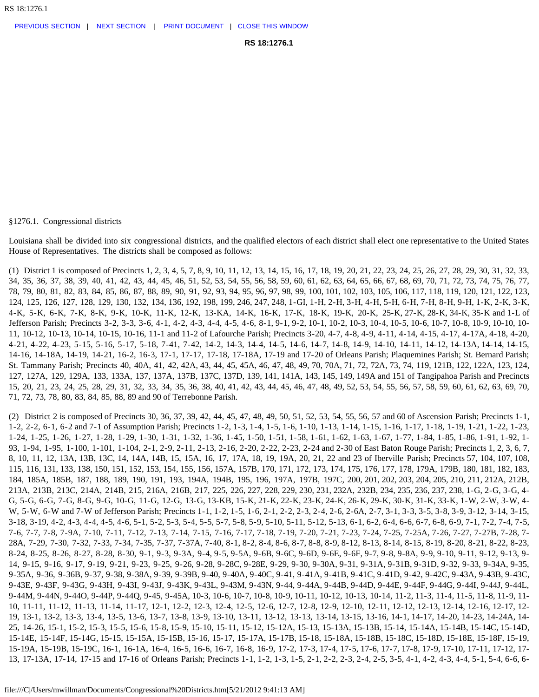§1276.1. Congressional districts

Louisiana shall be divided into six congressional districts, and the qualified electors of each district shall elect one representative to the United States House of Representatives. The districts shall be composed as follows:

(1) District 1 is composed of Precincts 1, 2, 3, 4, 5, 7, 8, 9, 10, 11, 12, 13, 14, 15, 16, 17, 18, 19, 20, 21, 22, 23, 24, 25, 26, 27, 28, 29, 30, 31, 32, 33, 34, 35, 36, 37, 38, 39, 40, 41, 42, 43, 44, 45, 46, 51, 52, 53, 54, 55, 56, 58, 59, 60, 61, 62, 63, 64, 65, 66, 67, 68, 69, 70, 71, 72, 73, 74, 75, 76, 77, 78, 79, 80, 81, 82, 83, 84, 85, 86, 87, 88, 89, 90, 91, 92, 93, 94, 95, 96, 97, 98, 99, 100, 101, 102, 103, 105, 106, 117, 118, 119, 120, 121, 122, 123, 124, 125, 126, 127, 128, 129, 130, 132, 134, 136, 192, 198, 199, 246, 247, 248, 1-GI, 1-H, 2-H, 3-H, 4-H, 5-H, 6-H, 7-H, 8-H, 9-H, 1-K, 2-K, 3-K, 4-K, 5-K, 6-K, 7-K, 8-K, 9-K, 10-K, 11-K, 12-K, 13-KA, 14-K, 16-K, 17-K, 18-K, 19-K, 20-K, 25-K, 27-K, 28-K, 34-K, 35-K and 1-L of Jefferson Parish; Precincts 3-2, 3-3, 3-6, 4-1, 4-2, 4-3, 4-4, 4-5, 4-6, 8-1, 9-1, 9-2, 10-1, 10-2, 10-3, 10-4, 10-5, 10-6, 10-7, 10-8, 10-9, 10-10, 10- 11, 10-12, 10-13, 10-14, 10-15, 10-16, 11-1 and 11-2 of Lafourche Parish; Precincts 3-20, 4-7, 4-8, 4-9, 4-11, 4-14, 4-15, 4-17, 4-17A, 4-18, 4-20, 4-21, 4-22, 4-23, 5-15, 5-16, 5-17, 5-18, 7-41, 7-42, 14-2, 14-3, 14-4, 14-5, 14-6, 14-7, 14-8, 14-9, 14-10, 14-11, 14-12, 14-13A, 14-14, 14-15, 14-16, 14-18A, 14-19, 14-21, 16-2, 16-3, 17-1, 17-17, 17-18, 17-18A, 17-19 and 17-20 of Orleans Parish; Plaquemines Parish; St. Bernard Parish; St. Tammany Parish; Precincts 40, 40A, 41, 42, 42A, 43, 44, 45, 45A, 46, 47, 48, 49, 70, 70A, 71, 72, 72A, 73, 74, 119, 121B, 122, 122A, 123, 124, 127, 127A, 129, 129A, 133, 133A, 137, 137A, 137B, 137C, 137D, 139, 141, 141A, 143, 145, 149, 149A and 151 of Tangipahoa Parish and Precincts 15, 20, 21, 23, 24, 25, 28, 29, 31, 32, 33, 34, 35, 36, 38, 40, 41, 42, 43, 44, 45, 46, 47, 48, 49, 52, 53, 54, 55, 56, 57, 58, 59, 60, 61, 62, 63, 69, 70, 71, 72, 73, 78, 80, 83, 84, 85, 88, 89 and 90 of Terrebonne Parish.

(2) District 2 is composed of Precincts 30, 36, 37, 39, 42, 44, 45, 47, 48, 49, 50, 51, 52, 53, 54, 55, 56, 57 and 60 of Ascension Parish; Precincts 1-1, 1-2, 2-2, 6-1, 6-2 and 7-1 of Assumption Parish; Precincts 1-2, 1-3, 1-4, 1-5, 1-6, 1-10, 1-13, 1-14, 1-15, 1-16, 1-17, 1-18, 1-19, 1-21, 1-22, 1-23, 1-24, 1-25, 1-26, 1-27, 1-28, 1-29, 1-30, 1-31, 1-32, 1-36, 1-45, 1-50, 1-51, 1-58, 1-61, 1-62, 1-63, 1-67, 1-77, 1-84, 1-85, 1-86, 1-91, 1-92, 1- 93, 1-94, 1-95, 1-100, 1-101, 1-104, 2-1, 2-9, 2-11, 2-13, 2-16, 2-20, 2-22, 2-23, 2-24 and 2-30 of East Baton Rouge Parish; Precincts 1, 2, 3, 6, 7, 8, 10, 11, 12, 13A, 13B, 13C, 14, 14A, 14B, 15, 15A, 16, 17, 17A, 18, 19, 19A, 20, 21, 22 and 23 of Iberville Parish; Precincts 57, 104, 107, 108, 115, 116, 131, 133, 138, 150, 151, 152, 153, 154, 155, 156, 157A, 157B, 170, 171, 172, 173, 174, 175, 176, 177, 178, 179A, 179B, 180, 181, 182, 183, 184, 185A, 185B, 187, 188, 189, 190, 191, 193, 194A, 194B, 195, 196, 197A, 197B, 197C, 200, 201, 202, 203, 204, 205, 210, 211, 212A, 212B, 213A, 213B, 213C, 214A, 214B, 215, 216A, 216B, 217, 225, 226, 227, 228, 229, 230, 231, 232A, 232B, 234, 235, 236, 237, 238, 1-G, 2-G, 3-G, 4- G, 5-G, 6-G, 7-G, 8-G, 9-G, 10-G, 11-G, 12-G, 13-G, 13-KB, 15-K, 21-K, 22-K, 23-K, 24-K, 26-K, 29-K, 30-K, 31-K, 33-K, 1-W, 2-W, 3-W, 4- W, 5-W, 6-W and 7-W of Jefferson Parish; Precincts 1-1, 1-2, 1-5, 1-6, 2-1, 2-2, 2-3, 2-4, 2-6, 2-6A, 2-7, 3-1, 3-3, 3-5, 3-8, 3-9, 3-12, 3-14, 3-15, 3-18, 3-19, 4-2, 4-3, 4-4, 4-5, 4-6, 5-1, 5-2, 5-3, 5-4, 5-5, 5-7, 5-8, 5-9, 5-10, 5-11, 5-12, 5-13, 6-1, 6-2, 6-4, 6-6, 6-7, 6-8, 6-9, 7-1, 7-2, 7-4, 7-5, 7-6, 7-7, 7-8, 7-9A, 7-10, 7-11, 7-12, 7-13, 7-14, 7-15, 7-16, 7-17, 7-18, 7-19, 7-20, 7-21, 7-23, 7-24, 7-25, 7-25A, 7-26, 7-27, 7-27B, 7-28, 7- 28A, 7-29, 7-30, 7-32, 7-33, 7-34, 7-35, 7-37, 7-37A, 7-40, 8-1, 8-2, 8-4, 8-6, 8-7, 8-8, 8-9, 8-12, 8-13, 8-14, 8-15, 8-19, 8-20, 8-21, 8-22, 8-23, 8-24, 8-25, 8-26, 8-27, 8-28, 8-30, 9-1, 9-3, 9-3A, 9-4, 9-5, 9-5A, 9-6B, 9-6C, 9-6D, 9-6E, 9-6F, 9-7, 9-8, 9-8A, 9-9, 9-10, 9-11, 9-12, 9-13, 9- 14, 9-15, 9-16, 9-17, 9-19, 9-21, 9-23, 9-25, 9-26, 9-28, 9-28C, 9-28E, 9-29, 9-30, 9-30A, 9-31, 9-31A, 9-31B, 9-31D, 9-32, 9-33, 9-34A, 9-35, 9-35A, 9-36, 9-36B, 9-37, 9-38, 9-38A, 9-39, 9-39B, 9-40, 9-40A, 9-40C, 9-41, 9-41A, 9-41B, 9-41C, 9-41D, 9-42, 9-42C, 9-43A, 9-43B, 9-43C, 9-43E, 9-43F, 9-43G, 9-43H, 9-43I, 9-43J, 9-43K, 9-43L, 9-43M, 9-43N, 9-44, 9-44A, 9-44B, 9-44D, 9-44E, 9-44F, 9-44G, 9-44I, 9-44J, 9-44L, 9-44M, 9-44N, 9-44O, 9-44P, 9-44Q, 9-45, 9-45A, 10-3, 10-6, 10-7, 10-8, 10-9, 10-11, 10-12, 10-13, 10-14, 11-2, 11-3, 11-4, 11-5, 11-8, 11-9, 11- 10, 11-11, 11-12, 11-13, 11-14, 11-17, 12-1, 12-2, 12-3, 12-4, 12-5, 12-6, 12-7, 12-8, 12-9, 12-10, 12-11, 12-12, 12-13, 12-14, 12-16, 12-17, 12- 19, 13-1, 13-2, 13-3, 13-4, 13-5, 13-6, 13-7, 13-8, 13-9, 13-10, 13-11, 13-12, 13-13, 13-14, 13-15, 13-16, 14-1, 14-17, 14-20, 14-23, 14-24A, 14- 25, 14-26, 15-1, 15-2, 15-3, 15-5, 15-6, 15-8, 15-9, 15-10, 15-11, 15-12, 15-12A, 15-13, 15-13A, 15-13B, 15-14, 15-14A, 15-14B, 15-14C, 15-14D, 15-14E, 15-14F, 15-14G, 15-15, 15-15A, 15-15B, 15-16, 15-17, 15-17A, 15-17B, 15-18, 15-18A, 15-18B, 15-18C, 15-18D, 15-18E, 15-18F, 15-19, 15-19A, 15-19B, 15-19C, 16-1, 16-1A, 16-4, 16-5, 16-6, 16-7, 16-8, 16-9, 17-2, 17-3, 17-4, 17-5, 17-6, 17-7, 17-8, 17-9, 17-10, 17-11, 17-12, 17- 13, 17-13A, 17-14, 17-15 and 17-16 of Orleans Parish; Precincts 1-1, 1-2, 1-3, 1-5, 2-1, 2-2, 2-3, 2-4, 2-5, 3-5, 4-1, 4-2, 4-3, 4-4, 5-1, 5-4, 6-6, 6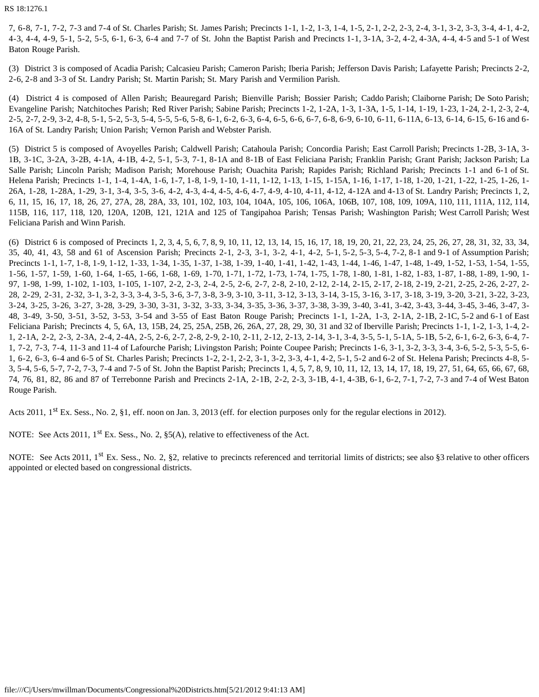RS 18:1276.1

7, 6-8, 7-1, 7-2, 7-3 and 7-4 of St. Charles Parish; St. James Parish; Precincts 1-1, 1-2, 1-3, 1-4, 1-5, 2-1, 2-2, 2-3, 2-4, 3-1, 3-2, 3-3, 3-4, 4-1, 4-2, 4-3, 4-4, 4-9, 5-1, 5-2, 5-5, 6-1, 6-3, 6-4 and 7-7 of St. John the Baptist Parish and Precincts 1-1, 3-1A, 3-2, 4-2, 4-3A, 4-4, 4-5 and 5-1 of West Baton Rouge Parish.

(3) District 3 is composed of Acadia Parish; Calcasieu Parish; Cameron Parish; Iberia Parish; Jefferson Davis Parish; Lafayette Parish; Precincts 2-2, 2-6, 2-8 and 3-3 of St. Landry Parish; St. Martin Parish; St. Mary Parish and Vermilion Parish.

(4) District 4 is composed of Allen Parish; Beauregard Parish; Bienville Parish; Bossier Parish; Caddo Parish; Claiborne Parish; De Soto Parish; Evangeline Parish; Natchitoches Parish; Red River Parish; Sabine Parish; Precincts 1-2, 1-2A, 1-3, 1-3A, 1-5, 1-14, 1-19, 1-23, 1-24, 2-1, 2-3, 2-4, 2-5, 2-7, 2-9, 3-2, 4-8, 5-1, 5-2, 5-3, 5-4, 5-5, 5-6, 5-8, 6-1, 6-2, 6-3, 6-4, 6-5, 6-6, 6-7, 6-8, 6-9, 6-10, 6-11, 6-11A, 6-13, 6-14, 6-15, 6-16 and 6- 16A of St. Landry Parish; Union Parish; Vernon Parish and Webster Parish.

(5) District 5 is composed of Avoyelles Parish; Caldwell Parish; Catahoula Parish; Concordia Parish; East Carroll Parish; Precincts 1-2B, 3-1A, 3- 1B, 3-1C, 3-2A, 3-2B, 4-1A, 4-1B, 4-2, 5-1, 5-3, 7-1, 8-1A and 8-1B of East Feliciana Parish; Franklin Parish; Grant Parish; Jackson Parish; La Salle Parish; Lincoln Parish; Madison Parish; Morehouse Parish; Ouachita Parish; Rapides Parish; Richland Parish; Precincts 1-1 and 6-1 of St. Helena Parish; Precincts 1-1, 1-4, 1-4A, 1-6, 1-7, 1-8, 1-9, 1-10, 1-11, 1-12, 1-13, 1-15, 1-15A, 1-16, 1-17, 1-18, 1-20, 1-21, 1-22, 1-25, 1-26, 1- 26A, 1-28, 1-28A, 1-29, 3-1, 3-4, 3-5, 3-6, 4-2, 4-3, 4-4, 4-5, 4-6, 4-7, 4-9, 4-10, 4-11, 4-12, 4-12A and 4-13 of St. Landry Parish; Precincts 1, 2, 6, 11, 15, 16, 17, 18, 26, 27, 27A, 28, 28A, 33, 101, 102, 103, 104, 104A, 105, 106, 106A, 106B, 107, 108, 109, 109A, 110, 111, 111A, 112, 114, 115B, 116, 117, 118, 120, 120A, 120B, 121, 121A and 125 of Tangipahoa Parish; Tensas Parish; Washington Parish; West Carroll Parish; West Feliciana Parish and Winn Parish.

(6) District 6 is composed of Precincts 1, 2, 3, 4, 5, 6, 7, 8, 9, 10, 11, 12, 13, 14, 15, 16, 17, 18, 19, 20, 21, 22, 23, 24, 25, 26, 27, 28, 31, 32, 33, 34, 35, 40, 41, 43, 58 and 61 of Ascension Parish; Precincts 2-1, 2-3, 3-1, 3-2, 4-1, 4-2, 5-1, 5-2, 5-3, 5-4, 7-2, 8-1 and 9-1 of Assumption Parish; Precincts 1-1, 1-7, 1-8, 1-9, 1-12, 1-33, 1-34, 1-35, 1-37, 1-38, 1-39, 1-40, 1-41, 1-42, 1-43, 1-44, 1-46, 1-47, 1-48, 1-49, 1-52, 1-53, 1-54, 1-55, 1-56, 1-57, 1-59, 1-60, 1-64, 1-65, 1-66, 1-68, 1-69, 1-70, 1-71, 1-72, 1-73, 1-74, 1-75, 1-78, 1-80, 1-81, 1-82, 1-83, 1-87, 1-88, 1-89, 1-90, 1- 97, 1-98, 1-99, 1-102, 1-103, 1-105, 1-107, 2-2, 2-3, 2-4, 2-5, 2-6, 2-7, 2-8, 2-10, 2-12, 2-14, 2-15, 2-17, 2-18, 2-19, 2-21, 2-25, 2-26, 2-27, 2- 28, 2-29, 2-31, 2-32, 3-1, 3-2, 3-3, 3-4, 3-5, 3-6, 3-7, 3-8, 3-9, 3-10, 3-11, 3-12, 3-13, 3-14, 3-15, 3-16, 3-17, 3-18, 3-19, 3-20, 3-21, 3-22, 3-23, 3-24, 3-25, 3-26, 3-27, 3-28, 3-29, 3-30, 3-31, 3-32, 3-33, 3-34, 3-35, 3-36, 3-37, 3-38, 3-39, 3-40, 3-41, 3-42, 3-43, 3-44, 3-45, 3-46, 3-47, 3- 48, 3-49, 3-50, 3-51, 3-52, 3-53, 3-54 and 3-55 of East Baton Rouge Parish; Precincts 1-1, 1-2A, 1-3, 2-1A, 2-1B, 2-1C, 5-2 and 6-1 of East Feliciana Parish; Precincts 4, 5, 6A, 13, 15B, 24, 25, 25A, 25B, 26, 26A, 27, 28, 29, 30, 31 and 32 of Iberville Parish; Precincts 1-1, 1-2, 1-3, 1-4, 2- 1, 2-1A, 2-2, 2-3, 2-3A, 2-4, 2-4A, 2-5, 2-6, 2-7, 2-8, 2-9, 2-10, 2-11, 2-12, 2-13, 2-14, 3-1, 3-4, 3-5, 5-1, 5-1A, 5-1B, 5-2, 6-1, 6-2, 6-3, 6-4, 7- 1, 7-2, 7-3, 7-4, 11-3 and 11-4 of Lafourche Parish; Livingston Parish; Pointe Coupee Parish; Precincts 1-6, 3-1, 3-2, 3-3, 3-4, 3-6, 5-2, 5-3, 5-5, 6- 1, 6-2, 6-3, 6-4 and 6-5 of St. Charles Parish; Precincts 1-2, 2-1, 2-2, 3-1, 3-2, 3-3, 4-1, 4-2, 5-1, 5-2 and 6-2 of St. Helena Parish; Precincts 4-8, 5- 3, 5-4, 5-6, 5-7, 7-2, 7-3, 7-4 and 7-5 of St. John the Baptist Parish; Precincts 1, 4, 5, 7, 8, 9, 10, 11, 12, 13, 14, 17, 18, 19, 27, 51, 64, 65, 66, 67, 68, 74, 76, 81, 82, 86 and 87 of Terrebonne Parish and Precincts 2-1A, 2-1B, 2-2, 2-3, 3-1B, 4-1, 4-3B, 6-1, 6-2, 7-1, 7-2, 7-3 and 7-4 of West Baton Rouge Parish.

Acts 2011,  $1^{st}$  Ex. Sess., No. 2, §1, eff. noon on Jan. 3, 2013 (eff. for election purposes only for the regular elections in 2012).

NOTE: See Acts 2011,  $1<sup>st</sup>$  Ex. Sess., No. 2,  $\S5(A)$ , relative to effectiveness of the Act.

NOTE: See Acts 2011, 1<sup>st</sup> Ex. Sess., No. 2, §2, relative to precincts referenced and territorial limits of districts; see also §3 relative to other officers appointed or elected based on congressional districts.